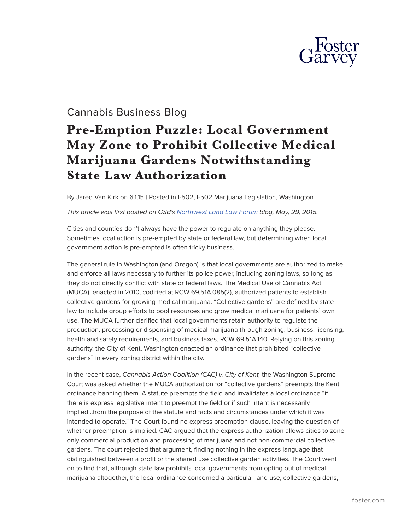

## Cannabis Business Blog

## **Pre-Emption Puzzle: Local Government May Zone to Prohibit Collective Medical Marijuana Gardens Notwithstanding State Law Authorization**

By Jared Van Kirk on 6.1.15 | Posted in I-502, I-502 Marijuana Legislation, Washington

## *This article was first posted on GSB's [Northwest Land Law Forum](http://www.northwestlandlawforum.com/) blog, May, 29, 2015.*

Cities and counties don't always have the power to regulate on anything they please. Sometimes local action is pre-empted by state or federal law, but determining when local government action is pre-empted is often tricky business.

The general rule in Washington (and Oregon) is that local governments are authorized to make and enforce all laws necessary to further its police power, including zoning laws, so long as they do not directly conflict with state or federal laws. The Medical Use of Cannabis Act (MUCA), enacted in 2010, codified at RCW 69.51A.085(2), authorized patients to establish collective gardens for growing medical marijuana. "Collective gardens" are defined by state law to include group efforts to pool resources and grow medical marijuana for patients' own use. The MUCA further clarified that local governments retain authority to regulate the production, processing or dispensing of medical marijuana through zoning, business, licensing, health and safety requirements, and business taxes. RCW 69.51A.140. Relying on this zoning authority, the City of Kent, Washington enacted an ordinance that prohibited "collective gardens" in every zoning district within the city.

In the recent case, *Cannabis Action Coalition (CAC) v. City of Kent*, the Washington Supreme Court was asked whether the MUCA authorization for "collective gardens" preempts the Kent ordinance banning them*.* A statute preempts the field and invalidates a local ordinance "if there is express legislative intent to preempt the field or if such intent is necessarily implied…from the purpose of the statute and facts and circumstances under which it was intended to operate." The Court found no express preemption clause, leaving the question of whether preemption is implied. CAC argued that the express authorization allows cities to zone only commercial production and processing of marijuana and not non-commercial collective gardens. The court rejected that argument, finding nothing in the express language that distinguished between a profit or the shared use collective garden activities. The Court went on to find that, although state law prohibits local governments from opting out of medical marijuana altogether, the local ordinance concerned a particular land use, collective gardens,